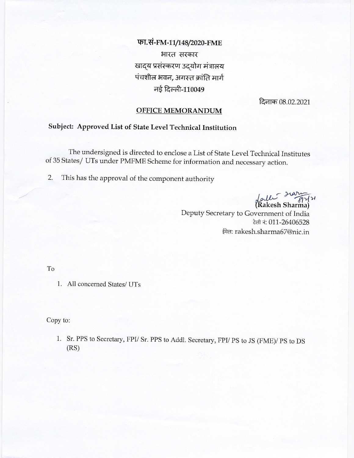फा.सं-FM-11/148/2020-FME भारत सरकार खाद्य प्रसंस्करण उदयोग मंत्रालय पंचशील भवन, अगस्त क्रांति मार्ग नई दिल्ली-110049

दिनाक 08.02.2021

## **OFFICE MEMORANDUM**

## Subject: Approved List of State Level Technical Institution

The undersigned is directed to enclose a List of State Level Technical Institutes of 35 States/ UTs under PMFME Scheme for information and necessary action.

This has the approval of the component authority  $2.$ 

faller Harma)

Deputy Secretary to Government of India टेली नं: 011-26406528 ईमेल: rakesh.sharma67@nic.in

T<sub>o</sub>

1. All concerned States/ UTs

Copy to:

1. Sr. PPS to Secretary, FPI/ Sr. PPS to Addl. Secretary, FPI/ PS to JS (FME)/ PS to DS  $(RS)$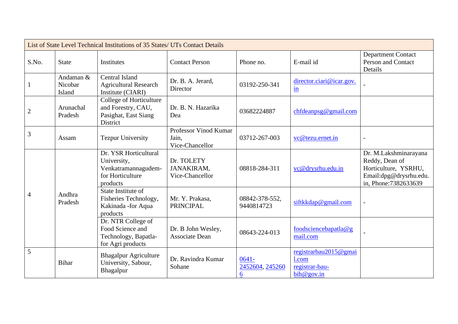| List of State Level Technical Institutions of 35 States/ UTs Contact Details |                                |                                                                                             |                                                   |                                  |                                                                |                                                                                                                    |  |
|------------------------------------------------------------------------------|--------------------------------|---------------------------------------------------------------------------------------------|---------------------------------------------------|----------------------------------|----------------------------------------------------------------|--------------------------------------------------------------------------------------------------------------------|--|
| S.No.                                                                        | <b>State</b>                   | Institutes                                                                                  | <b>Contact Person</b>                             | Phone no.                        | E-mail id                                                      | <b>Department Contact</b><br><b>Person and Contact</b><br>Details                                                  |  |
| $\mathbf{1}$                                                                 | Andaman &<br>Nicobar<br>Island | Central Island<br><b>Agricultural Research</b><br>Institute (CIARI)                         | Dr. B. A. Jerard,<br>Director                     | 03192-250-341                    | director.ciari@icar.gov.<br>$\frac{\text{in}}{\ }$             |                                                                                                                    |  |
| $\sqrt{2}$                                                                   | Arunachal<br>Pradesh           | College of Horticulture<br>and Forestry, CAU,<br>Pasighat, East Siang<br>District           | Dr. B. N. Hazarika<br>Dea                         | 03682224887                      | chfdeanpsg@gmail.com                                           |                                                                                                                    |  |
| $\overline{3}$                                                               | Assam                          | <b>Tezpur University</b>                                                                    | Professor Vinod Kumar<br>Jain.<br>Vice-Chancellor | 03712-267-003                    | vc@tezu.ernet.in                                               |                                                                                                                    |  |
| $\overline{4}$                                                               | Andhra<br>Pradesh              | Dr. YSR Horticultural<br>University,<br>Venkatramannagudem-<br>for Horticulture<br>products | Dr. TOLETY<br>JANAKIRAM,<br>Vice-Chancellor       | 08818-284-311                    | vc@drysrhu.edu.in                                              | Dr. M.Lakshminarayana<br>Reddy, Dean of<br>Horticulture, YSRHU,<br>Email:dpg@drysrhu.edu.<br>in, Phone: 7382633639 |  |
|                                                                              |                                | State Institute of<br>Fisheries Technology,<br>Kakinada - for Aqua<br>products              | Mr. Y. Prakasa,<br><b>PRINCIPAL</b>               | 08842-378-552.<br>9440814723     | siftkkdap@gmail.com                                            |                                                                                                                    |  |
|                                                                              |                                | Dr. NTR College of<br>Food Science and<br>Technology, Bapatla-<br>for Agri products         | Dr. B John Wesley,<br>Associate Dean              | 08643-224-013                    | foodsciencebapatla@g<br>mail.com                               |                                                                                                                    |  |
| 5                                                                            | <b>Bihar</b>                   | <b>Bhagalpur Agriculture</b><br>University, Sabour,<br>Bhagalpur                            | Dr. Ravindra Kumar<br>Sohane                      | $0641 -$<br>2452604, 245260<br>6 | registrarbau2015@gmai<br>l.com<br>registrar-bau-<br>bih@gov.in |                                                                                                                    |  |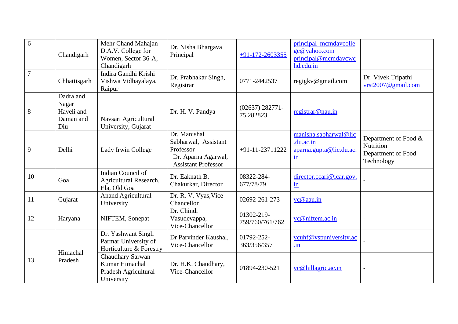| 6              | Chandigarh                                           | Mehr Chand Mahajan<br>D.A.V. College for<br>Women, Sector 36-A,<br>Chandigarh | Dr. Nisha Bhargava<br>Principal                                                                        | $+91-172-2603355$               | principal_mcmdavcolle<br>ge@yahoo.com<br>principal@mcmdavcwc<br>hd.edu.in     |                                                                       |
|----------------|------------------------------------------------------|-------------------------------------------------------------------------------|--------------------------------------------------------------------------------------------------------|---------------------------------|-------------------------------------------------------------------------------|-----------------------------------------------------------------------|
| $\overline{7}$ | Chhattisgarh                                         | Indira Gandhi Krishi<br>Vishwa Vidhayalaya,<br>Raipur                         | Dr. Prabhakar Singh,<br>Registrar                                                                      | 0771-2442537                    | regigky@gmail.com                                                             | Dr. Vivek Tripathi<br>vrst2007@gmail.com                              |
| 8              | Dadra and<br>Nagar<br>Haveli and<br>Daman and<br>Diu | Navsari Agricultural<br>University, Gujarat                                   | Dr. H. V. Pandya                                                                                       | $(02637) 282771 -$<br>75,282823 | registrar@nau.in                                                              |                                                                       |
| 9              | Delhi                                                | Lady Irwin College                                                            | Dr. Manishal<br>Sabharwal, Assistant<br>Professor<br>Dr. Aparna Agarwal,<br><b>Assistant Professor</b> | +91-11-23711222                 | manisha.sabharwal@lic<br>.du.ac.in<br>aparna.gupta@lic.du.ac.<br>$\mathbf{m}$ | Department of Food &<br>Nutrition<br>Department of Food<br>Technology |
| 10             | Goa                                                  | Indian Council of<br>Agricultural Research,<br>Ela, Old Goa                   | Dr. Eaknath B.<br>Chakurkar, Director                                                                  | 08322-284-<br>677/78/79         | director.ccari@icar.gov.<br>$\underline{\text{in}}$                           |                                                                       |
| 11             | Gujarat                                              | <b>Anand Agricultural</b><br>University                                       | Dr. R. V. Vyas, Vice<br>Chancellor                                                                     | 02692-261-273                   | vc@aau.in                                                                     |                                                                       |
| 12             | Haryana                                              | NIFTEM, Sonepat                                                               | Dr. Chindi<br>Vasudevappa,<br>Vice-Chancellor                                                          | 01302-219-<br>759/760/761/762   | vc@niftem.ac.in                                                               |                                                                       |
|                | Himachal                                             | Dr. Yashwant Singh<br>Parmar University of<br>Horticulture & Forestry         | Dr Parvinder Kaushal,<br>Vice-Chancellor                                                               | 01792-252-<br>363/356/357       | vcuhf@yspuniversity.ac<br>$\mathbf{u}$                                        |                                                                       |
| 13             | Pradesh                                              | Chaudhary Sarwan<br>Kumar Himachal<br>Pradesh Agricultural<br>University      | Dr. H.K. Chaudhary,<br>Vice-Chancellor                                                                 | 01894-230-521                   | vc@hillagric.ac.in                                                            |                                                                       |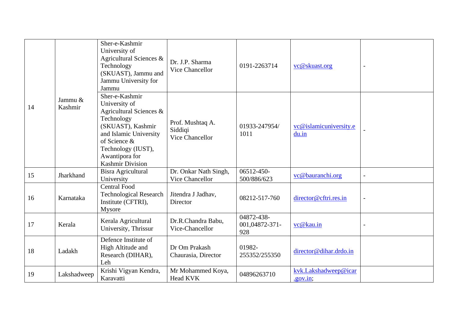|    |                    | Sher-e-Kashmir<br>University of<br>Agricultural Sciences &<br>Technology<br>(SKUAST), Jammu and<br>Jammu University for<br>Jammu                                                                           | Dr. J.P. Sharma<br>Vice Chancellor             | 0191-2263714                        | vc@skuast.org                    |  |
|----|--------------------|------------------------------------------------------------------------------------------------------------------------------------------------------------------------------------------------------------|------------------------------------------------|-------------------------------------|----------------------------------|--|
| 14 | Jammu &<br>Kashmir | Sher-e-Kashmir<br>University of<br>Agricultural Sciences &<br>Technology<br>(SKUAST), Kashmir<br>and Islamic University<br>of Science &<br>Technology (IUST),<br>Awantipora for<br><b>Kashmir Division</b> | Prof. Mushtaq A.<br>Siddiqi<br>Vice Chancellor | 01933-247954/<br>1011               | vc@islamicuniversity.e<br>du.in  |  |
| 15 | Jharkhand          | Bisra Agricultural<br>University                                                                                                                                                                           | Dr. Onkar Nath Singh,<br>Vice Chancellor       | 06512-450-<br>500/886/623           | vc@bauranchi.org                 |  |
| 16 | Karnataka          | <b>Central Food</b><br><b>Technological Research</b><br>Institute (CFTRI),<br>Mysore                                                                                                                       | Jitendra J Jadhav,<br>Director                 | 08212-517-760                       | director@cftri.res.in            |  |
| 17 | Kerala             | Kerala Agricultural<br>University, Thrissur                                                                                                                                                                | Dr.R.Chandra Babu,<br>Vice-Chancellor          | 04872-438-<br>001,04872-371-<br>928 | vc@kau.in                        |  |
| 18 | Ladakh             | Defence Institute of<br>High Altitude and<br>Research (DIHAR),<br>Leh                                                                                                                                      | Dr Om Prakash<br>Chaurasia, Director           | 01982-<br>255352/255350             | director@dihar.drdo.in           |  |
| 19 | Lakshadweep        | Krishi Vigyan Kendra,<br>Karavatti                                                                                                                                                                         | Mr Mohammed Koya,<br><b>Head KVK</b>           | 04896263710                         | kvk.Lakshadweep@icar<br>.gov.in; |  |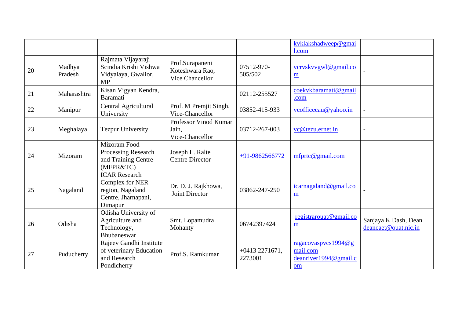|    |                   |                                                                                               |                                                       |                            | kvklakshadweep@gmai                                            |                                              |
|----|-------------------|-----------------------------------------------------------------------------------------------|-------------------------------------------------------|----------------------------|----------------------------------------------------------------|----------------------------------------------|
|    |                   |                                                                                               |                                                       |                            | 1.com                                                          |                                              |
| 20 | Madhya<br>Pradesh | Rajmata Vijayaraji<br>Scindia Krishi Vishwa<br>Vidyalaya, Gwalior,<br><b>MP</b>               | Prof.Surapaneni<br>Koteshwara Rao,<br>Vice Chancellor | 07512-970-<br>505/502      | vcryskyvgwl@gmail.co<br>$\underline{\mathbf{m}}$               |                                              |
| 21 | Maharashtra       | Kisan Vigyan Kendra,<br><b>Baramati</b>                                                       |                                                       | 02112-255527               | coekvkbaramati@gmail<br>.com                                   |                                              |
| 22 | Manipur           | <b>Central Agricultural</b><br>University                                                     | Prof. M Premjit Singh,<br>Vice-Chancellor             | 03852-415-933              | vcofficecau@yahoo.in                                           | $\overline{a}$                               |
| 23 | Meghalaya         | <b>Tezpur University</b>                                                                      | Professor Vinod Kumar<br>Jain,<br>Vice-Chancellor     | 03712-267-003              | vc@tezu.ernet.in                                               | $\overline{\phantom{a}}$                     |
| 24 | Mizoram           | Mizoram Food<br>Processing Research<br>and Training Centre<br>(MFPR&TC)                       | Joseph L. Ralte<br><b>Centre Director</b>             | +91-9862566772             | $m$ fprtc@gmail.com                                            |                                              |
| 25 | Nagaland          | <b>ICAR Research</b><br>Complex for NER<br>region, Nagaland<br>Centre, Jharnapani,<br>Dimapur | Dr. D. J. Rajkhowa,<br>Joint Director                 | 03862-247-250              | icarnagaland@gmail.co<br>$\underline{\mathbf{m}}$              |                                              |
| 26 | Odisha            | Odisha University of<br>Agriculture and<br>Technology,<br>Bhubaneswar                         | Smt. Lopamudra<br>Mohanty                             | 06742397424                | registrarouat@gmail.co<br>$\underline{\mathbf{m}}$             | Sanjaya K Dash, Dean<br>deancaet@ouat.nic.in |
| 27 | Puducherry        | Rajeev Gandhi Institute<br>of veterinary Education<br>and Research<br>Pondicherry             | Prof.S. Ramkumar                                      | $+04132271671,$<br>2273001 | ragacovaspvcs1994@g<br>mail.com<br>deanriver1994@gmail.c<br>om |                                              |